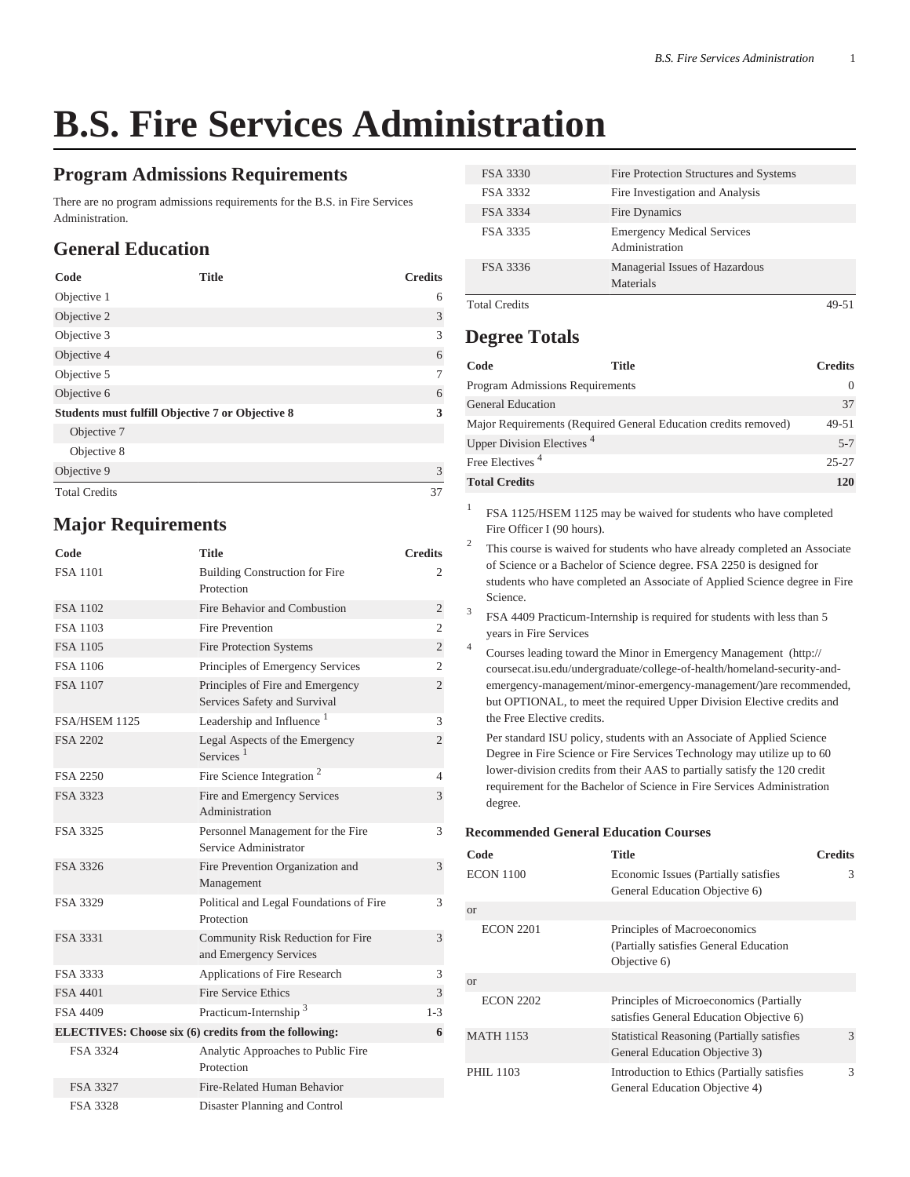# **B.S. Fire Services Administration**

#### **Program Admissions Requirements**

There are no program admissions requirements for the B.S. in Fire Services Administration.

## **General Education**

| Code                                             | <b>Title</b> | <b>Credits</b> |
|--------------------------------------------------|--------------|----------------|
| Objective 1                                      |              | 6              |
| Objective 2                                      |              | 3              |
| Objective 3                                      |              | 3              |
| Objective 4                                      |              | 6              |
| Objective 5                                      |              | 7              |
| Objective 6                                      |              | 6              |
| Students must fulfill Objective 7 or Objective 8 |              | 3              |
| Objective 7                                      |              |                |
| Objective 8                                      |              |                |
| Objective 9                                      |              | 3              |
| <b>Total Credits</b>                             |              | 37             |

#### **Major Requirements**

| Code                                                  | Title                                                            | <b>Credits</b> |
|-------------------------------------------------------|------------------------------------------------------------------|----------------|
| <b>FSA 1101</b>                                       | <b>Building Construction for Fire</b><br>Protection              | 2              |
| <b>FSA 1102</b>                                       | Fire Behavior and Combustion                                     | $\mathfrak{2}$ |
| <b>FSA 1103</b>                                       | <b>Fire Prevention</b>                                           | $\overline{2}$ |
| <b>FSA 1105</b>                                       | <b>Fire Protection Systems</b>                                   | $\overline{c}$ |
| <b>FSA 1106</b>                                       | Principles of Emergency Services                                 | $\overline{2}$ |
| <b>FSA 1107</b>                                       | Principles of Fire and Emergency<br>Services Safety and Survival | $\overline{c}$ |
| FSA/HSEM 1125                                         | Leadership and Influence <sup>1</sup>                            | 3              |
| FSA 2202                                              | Legal Aspects of the Emergency<br>Services <sup>1</sup>          | $\overline{2}$ |
| FSA 2250                                              | Fire Science Integration $2$                                     | 4              |
| FSA 3323                                              | Fire and Emergency Services<br>Administration                    | 3              |
| FSA 3325                                              | Personnel Management for the Fire<br>Service Administrator       | 3              |
| FSA 3326                                              | Fire Prevention Organization and<br>Management                   | 3              |
| FSA 3329                                              | Political and Legal Foundations of Fire<br>Protection            | 3              |
| FSA 3331                                              | Community Risk Reduction for Fire<br>and Emergency Services      | 3              |
| FSA 3333                                              | Applications of Fire Research                                    | 3              |
| <b>FSA 4401</b>                                       | Fire Service Ethics                                              | 3              |
| FSA 4409                                              | Practicum-Internship <sup>3</sup>                                | $1 - 3$        |
| ELECTIVES: Choose six (6) credits from the following: |                                                                  |                |
| FSA 3324                                              | Analytic Approaches to Public Fire<br>Protection                 |                |
| FSA 3327                                              | Fire-Related Human Behavior                                      |                |
| <b>FSA 3328</b>                                       | Disaster Planning and Control                                    |                |

| FSA 3330             | Fire Protection Structures and Systems              |  |
|----------------------|-----------------------------------------------------|--|
| FSA 3332             | Fire Investigation and Analysis                     |  |
| FSA 3334             | Fire Dynamics                                       |  |
| FSA 3335             | <b>Emergency Medical Services</b><br>Administration |  |
| FSA 3336             | Managerial Issues of Hazardous<br>Materials         |  |
| <b>Total Credits</b> |                                                     |  |

### **Degree Totals**

| Code                                   | <b>Title</b>                                                    | <b>Credits</b> |
|----------------------------------------|-----------------------------------------------------------------|----------------|
| <b>Program Admissions Requirements</b> |                                                                 | 0              |
| <b>General Education</b>               |                                                                 | 37             |
|                                        | Major Requirements (Required General Education credits removed) | $49 - 51$      |
| Upper Division Electives <sup>4</sup>  |                                                                 | $5 - 7$        |
| Free Electives <sup>4</sup>            |                                                                 | $25 - 27$      |
| <b>Total Credits</b>                   |                                                                 | 120            |

1 FSA 1125/HSEM 1125 may be waived for students who have completed Fire Officer I (90 hours).

2 This course is waived for students who have already completed an Associate of Science or a Bachelor of Science degree. FSA 2250 is designed for students who have completed an Associate of Applied Science degree in Fire Science.

3 FSA 4409 Practicum-Internship is required for students with less than 5 years in Fire Services

4 Courses leading toward the [Minor in Emergency Management](http://coursecat.isu.edu/undergraduate/college-of-health/homeland-security-and-emergency-management/minor-emergency-management/) ([http://](http://coursecat.isu.edu/undergraduate/college-of-health/homeland-security-and-emergency-management/minor-emergency-management/) [coursecat.isu.edu/undergraduate/college-of-health/homeland-security-and](http://coursecat.isu.edu/undergraduate/college-of-health/homeland-security-and-emergency-management/minor-emergency-management/)[emergency-management/minor-emergency-management/\)](http://coursecat.isu.edu/undergraduate/college-of-health/homeland-security-and-emergency-management/minor-emergency-management/)are recommended, but OPTIONAL, to meet the required Upper Division Elective credits and the Free Elective credits.

Per standard ISU policy, students with an Associate of Applied Science Degree in Fire Science or Fire Services Technology may utilize up to 60 lower-division credits from their AAS to partially satisfy the 120 credit requirement for the Bachelor of Science in Fire Services Administration degree.

#### **Recommended General Education Courses**

| Code             | <b>Title</b>                                                                            | <b>Credits</b> |
|------------------|-----------------------------------------------------------------------------------------|----------------|
| ECON 1100        | Economic Issues (Partially satisfies<br>General Education Objective 6)                  | 3              |
| <b>or</b>        |                                                                                         |                |
| <b>ECON 2201</b> | Principles of Macroeconomics<br>(Partially satisfies General Education)<br>Objective 6) |                |
| or               |                                                                                         |                |
| <b>ECON 2202</b> | Principles of Microeconomics (Partially<br>satisfies General Education Objective 6)     |                |
| <b>MATH 1153</b> | <b>Statistical Reasoning (Partially satisfies)</b><br>General Education Objective 3)    | 3              |
| PHIL 1103        | Introduction to Ethics (Partially satisfies<br>General Education Objective 4)           | 3              |